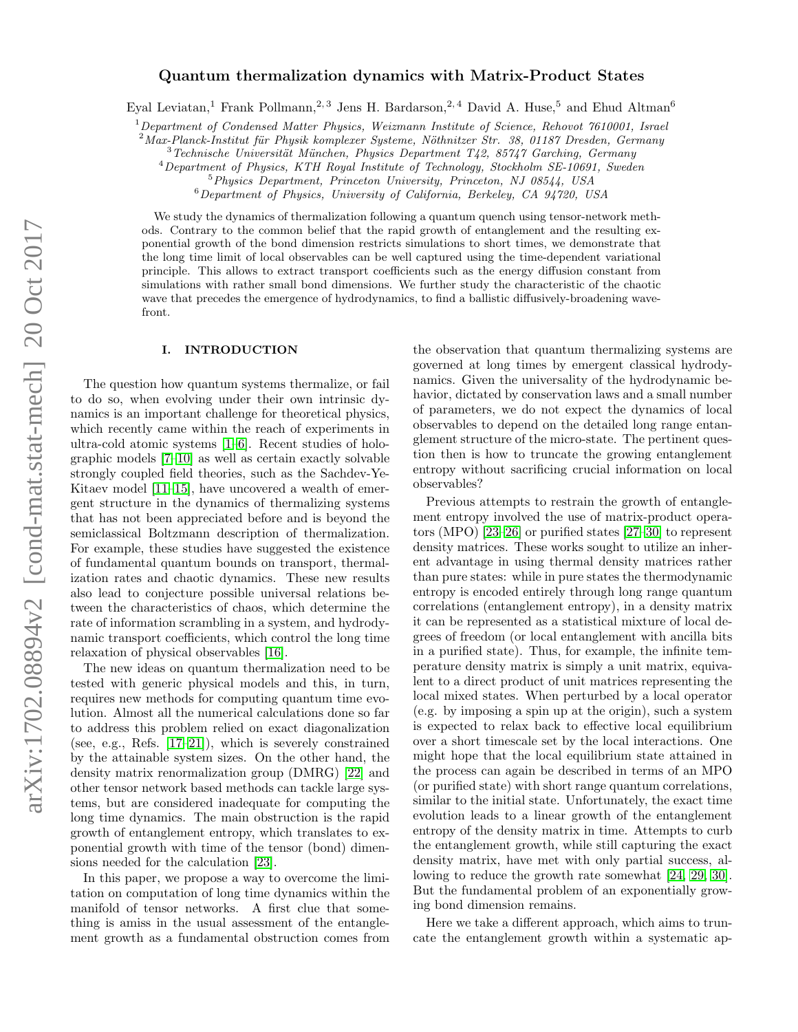# Quantum thermalization dynamics with Matrix-Product States

Eyal Leviatan,<sup>1</sup> Frank Pollmann,<sup>2, 3</sup> Jens H. Bardarson,<sup>2, 4</sup> David A. Huse,<sup>5</sup> and Ehud Altman<sup>6</sup>

 $1$ Department of Condensed Matter Physics, Weizmann Institute of Science, Rehovot 7610001, Israel

 $2$ Max-Planck-Institut für Physik komplexer Systeme, Nöthnitzer Str. 38, 01187 Dresden, Germany

 $3$ Technische Universität München, Physics Department T42, 85747 Garching, Germany

<sup>4</sup>Department of Physics, KTH Royal Institute of Technology, Stockholm SE-10691, Sweden

<sup>5</sup>Physics Department, Princeton University, Princeton, NJ 08544, USA

<sup>6</sup>Department of Physics, University of California, Berkeley, CA 94720, USA

We study the dynamics of thermalization following a quantum quench using tensor-network methods. Contrary to the common belief that the rapid growth of entanglement and the resulting exponential growth of the bond dimension restricts simulations to short times, we demonstrate that the long time limit of local observables can be well captured using the time-dependent variational principle. This allows to extract transport coefficients such as the energy diffusion constant from simulations with rather small bond dimensions. We further study the characteristic of the chaotic wave that precedes the emergence of hydrodynamics, to find a ballistic diffusively-broadening wavefront.

### I. INTRODUCTION

The question how quantum systems thermalize, or fail to do so, when evolving under their own intrinsic dynamics is an important challenge for theoretical physics, which recently came within the reach of experiments in ultra-cold atomic systems [\[1–](#page-6-0)[6\]](#page-6-1). Recent studies of holographic models [\[7–](#page-6-2)[10\]](#page-6-3) as well as certain exactly solvable strongly coupled field theories, such as the Sachdev-Ye-Kitaev model [\[11–](#page-6-4)[15\]](#page-6-5), have uncovered a wealth of emergent structure in the dynamics of thermalizing systems that has not been appreciated before and is beyond the semiclassical Boltzmann description of thermalization. For example, these studies have suggested the existence of fundamental quantum bounds on transport, thermalization rates and chaotic dynamics. These new results also lead to conjecture possible universal relations between the characteristics of chaos, which determine the rate of information scrambling in a system, and hydrodynamic transport coefficients, which control the long time relaxation of physical observables [\[16\]](#page-6-6).

The new ideas on quantum thermalization need to be tested with generic physical models and this, in turn, requires new methods for computing quantum time evolution. Almost all the numerical calculations done so far to address this problem relied on exact diagonalization (see, e.g., Refs. [\[17–](#page-6-7)[21\]](#page-6-8)), which is severely constrained by the attainable system sizes. On the other hand, the density matrix renormalization group (DMRG) [\[22\]](#page-6-9) and other tensor network based methods can tackle large systems, but are considered inadequate for computing the long time dynamics. The main obstruction is the rapid growth of entanglement entropy, which translates to exponential growth with time of the tensor (bond) dimensions needed for the calculation [\[23\]](#page-6-10).

In this paper, we propose a way to overcome the limitation on computation of long time dynamics within the manifold of tensor networks. A first clue that something is amiss in the usual assessment of the entanglement growth as a fundamental obstruction comes from

the observation that quantum thermalizing systems are governed at long times by emergent classical hydrodynamics. Given the universality of the hydrodynamic behavior, dictated by conservation laws and a small number of parameters, we do not expect the dynamics of local observables to depend on the detailed long range entanglement structure of the micro-state. The pertinent question then is how to truncate the growing entanglement entropy without sacrificing crucial information on local observables?

Previous attempts to restrain the growth of entanglement entropy involved the use of matrix-product operators (MPO) [\[23–](#page-6-10)[26\]](#page-6-11) or purified states [\[27–](#page-6-12)[30\]](#page-6-13) to represent density matrices. These works sought to utilize an inherent advantage in using thermal density matrices rather than pure states: while in pure states the thermodynamic entropy is encoded entirely through long range quantum correlations (entanglement entropy), in a density matrix it can be represented as a statistical mixture of local degrees of freedom (or local entanglement with ancilla bits in a purified state). Thus, for example, the infinite temperature density matrix is simply a unit matrix, equivalent to a direct product of unit matrices representing the local mixed states. When perturbed by a local operator (e.g. by imposing a spin up at the origin), such a system is expected to relax back to effective local equilibrium over a short timescale set by the local interactions. One might hope that the local equilibrium state attained in the process can again be described in terms of an MPO (or purified state) with short range quantum correlations, similar to the initial state. Unfortunately, the exact time evolution leads to a linear growth of the entanglement entropy of the density matrix in time. Attempts to curb the entanglement growth, while still capturing the exact density matrix, have met with only partial success, allowing to reduce the growth rate somewhat [\[24,](#page-6-14) [29,](#page-6-15) [30\]](#page-6-13). But the fundamental problem of an exponentially growing bond dimension remains.

Here we take a different approach, which aims to truncate the entanglement growth within a systematic ap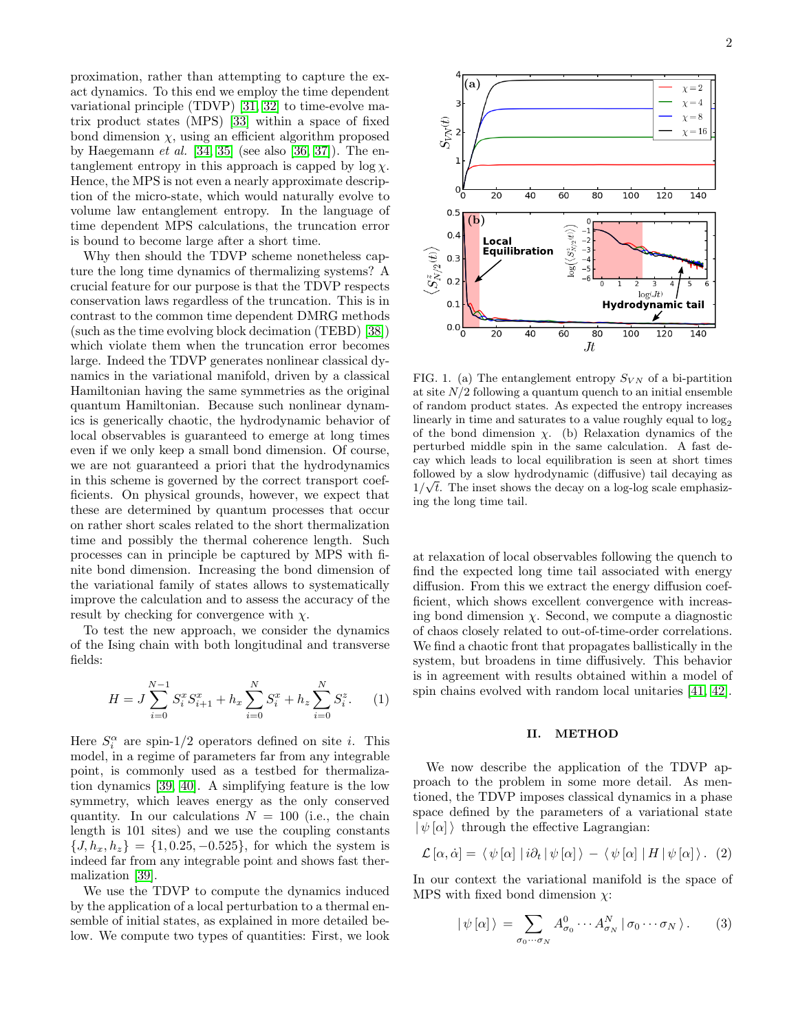proximation, rather than attempting to capture the exact dynamics. To this end we employ the time dependent variational principle (TDVP) [\[31,](#page-6-16) [32\]](#page-6-17) to time-evolve matrix product states (MPS) [\[33\]](#page-6-18) within a space of fixed bond dimension  $\chi$ , using an efficient algorithm proposed by Haegemann  $et \ al.$  [\[34,](#page-6-19) [35\]](#page-6-20) (see also [\[36,](#page-6-21) [37\]](#page-6-22)). The entanglement entropy in this approach is capped by  $log \chi$ . Hence, the MPS is not even a nearly approximate description of the micro-state, which would naturally evolve to volume law entanglement entropy. In the language of time dependent MPS calculations, the truncation error is bound to become large after a short time.

Why then should the TDVP scheme nonetheless capture the long time dynamics of thermalizing systems? A crucial feature for our purpose is that the TDVP respects conservation laws regardless of the truncation. This is in contrast to the common time dependent DMRG methods (such as the time evolving block decimation (TEBD) [\[38\]](#page-6-23)) which violate them when the truncation error becomes large. Indeed the TDVP generates nonlinear classical dynamics in the variational manifold, driven by a classical Hamiltonian having the same symmetries as the original quantum Hamiltonian. Because such nonlinear dynamics is generically chaotic, the hydrodynamic behavior of local observables is guaranteed to emerge at long times even if we only keep a small bond dimension. Of course, we are not guaranteed a priori that the hydrodynamics in this scheme is governed by the correct transport coefficients. On physical grounds, however, we expect that these are determined by quantum processes that occur on rather short scales related to the short thermalization time and possibly the thermal coherence length. Such processes can in principle be captured by MPS with finite bond dimension. Increasing the bond dimension of the variational family of states allows to systematically improve the calculation and to assess the accuracy of the result by checking for convergence with  $\chi$ .

To test the new approach, we consider the dynamics of the Ising chain with both longitudinal and transverse fields:

<span id="page-1-1"></span>
$$
H = J \sum_{i=0}^{N-1} S_i^x S_{i+1}^x + h_x \sum_{i=0}^N S_i^x + h_z \sum_{i=0}^N S_i^z.
$$
 (1)

Here  $S_i^{\alpha}$  are spin-1/2 operators defined on site *i*. This model, in a regime of parameters far from any integrable point, is commonly used as a testbed for thermalization dynamics [\[39,](#page-6-24) [40\]](#page-6-25). A simplifying feature is the low symmetry, which leaves energy as the only conserved quantity. In our calculations  $N = 100$  (i.e., the chain length is 101 sites) and we use the coupling constants  $\{J, h_x, h_z\} = \{1, 0.25, -0.525\}$ , for which the system is indeed far from any integrable point and shows fast thermalization [\[39\]](#page-6-24).

We use the TDVP to compute the dynamics induced by the application of a local perturbation to a thermal ensemble of initial states, as explained in more detailed below. We compute two types of quantities: First, we look



<span id="page-1-0"></span>FIG. 1. (a) The entanglement entropy  $S_{VN}$  of a bi-partition at site  $N/2$  following a quantum quench to an initial ensemble of random product states. As expected the entropy increases linearly in time and saturates to a value roughly equal to  $log<sub>2</sub>$ of the bond dimension  $\chi$ . (b) Relaxation dynamics of the perturbed middle spin in the same calculation. A fast decay which leads to local equilibration is seen at short times followed by a slow hydrodynamic (diffusive) tail decaying as √  $1/\sqrt{t}$ . The inset shows the decay on a log-log scale emphasizing the long time tail.

at relaxation of local observables following the quench to find the expected long time tail associated with energy diffusion. From this we extract the energy diffusion coefficient, which shows excellent convergence with increasing bond dimension  $\chi$ . Second, we compute a diagnostic of chaos closely related to out-of-time-order correlations. We find a chaotic front that propagates ballistically in the system, but broadens in time diffusively. This behavior is in agreement with results obtained within a model of spin chains evolved with random local unitaries [\[41,](#page-6-26) [42\]](#page-6-27).

### II. METHOD

We now describe the application of the TDVP approach to the problem in some more detail. As mentioned, the TDVP imposes classical dynamics in a phase space defined by the parameters of a variational state  $|\psi(\alpha)\rangle$  through the effective Lagrangian:

$$
\mathcal{L}[\alpha, \dot{\alpha}] = \langle \psi[\alpha] | i \partial_t | \psi[\alpha] \rangle - \langle \psi[\alpha] | H | \psi[\alpha] \rangle. (2)
$$

In our context the variational manifold is the space of MPS with fixed bond dimension  $\chi$ :

$$
|\psi[\alpha]\rangle = \sum_{\sigma_0\cdots\sigma_N} A^0_{\sigma_0}\cdots A^N_{\sigma_N} |\sigma_0\cdots\sigma_N\rangle.
$$
 (3)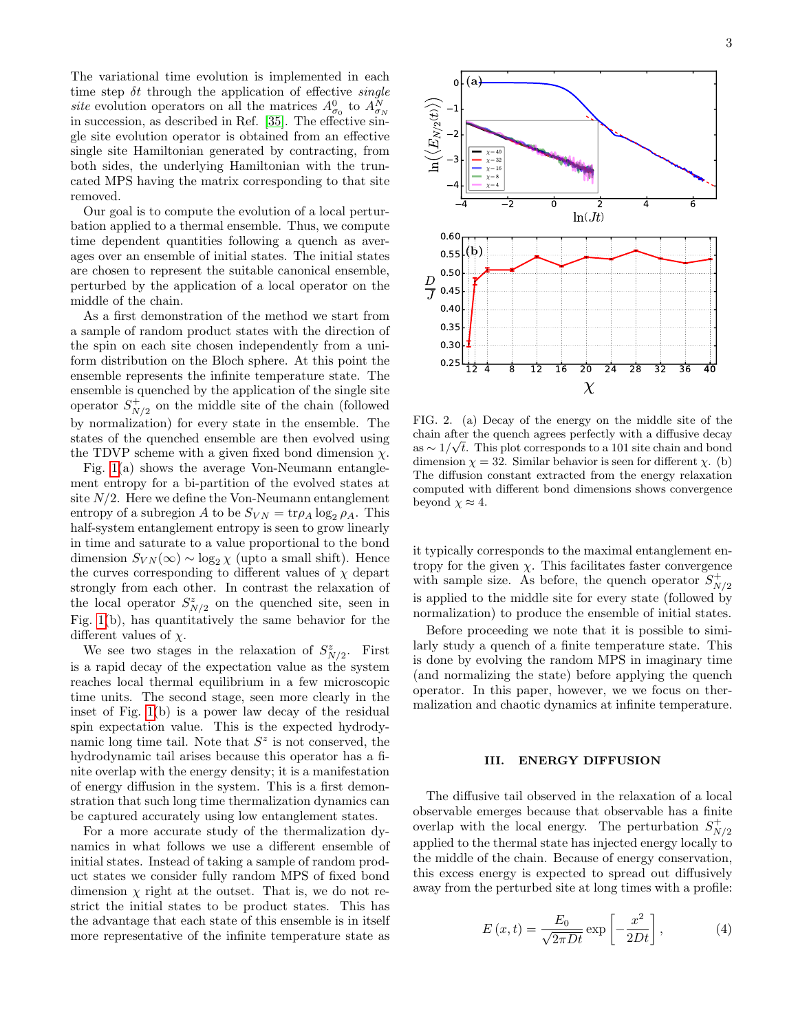The variational time evolution is implemented in each time step  $\delta t$  through the application of effective *single* site evolution operators on all the matrices  $A_{\sigma_0}^0$  to  $A_{\sigma_N}^N$ in succession, as described in Ref. [\[35\]](#page-6-20). The effective single site evolution operator is obtained from an effective single site Hamiltonian generated by contracting, from both sides, the underlying Hamiltonian with the truncated MPS having the matrix corresponding to that site removed.

Our goal is to compute the evolution of a local perturbation applied to a thermal ensemble. Thus, we compute time dependent quantities following a quench as averages over an ensemble of initial states. The initial states are chosen to represent the suitable canonical ensemble, perturbed by the application of a local operator on the middle of the chain.

As a first demonstration of the method we start from a sample of random product states with the direction of the spin on each site chosen independently from a uniform distribution on the Bloch sphere. At this point the ensemble represents the infinite temperature state. The ensemble is quenched by the application of the single site operator  $S_{N/2}^+$  on the middle site of the chain (followed by normalization) for every state in the ensemble. The states of the quenched ensemble are then evolved using the TDVP scheme with a given fixed bond dimension  $\chi$ .

Fig. [1\(](#page-1-0)a) shows the average Von-Neumann entanglement entropy for a bi-partition of the evolved states at site  $N/2$ . Here we define the Von-Neumann entanglement entropy of a subregion A to be  $S_{VN} = \text{tr}\rho_A \log_2 \rho_A$ . This half-system entanglement entropy is seen to grow linearly in time and saturate to a value proportional to the bond dimension  $S_{VN}(\infty) \sim \log_2 \chi$  (upto a small shift). Hence the curves corresponding to different values of  $\chi$  depart strongly from each other. In contrast the relaxation of the local operator  $S_{N/2}^z$  on the quenched site, seen in Fig. [1\(](#page-1-0)b), has quantitatively the same behavior for the different values of  $\chi$ .

We see two stages in the relaxation of  $S_{N/2}^z$ . First is a rapid decay of the expectation value as the system reaches local thermal equilibrium in a few microscopic time units. The second stage, seen more clearly in the inset of Fig. [1\(](#page-1-0)b) is a power law decay of the residual spin expectation value. This is the expected hydrodynamic long time tail. Note that  $S^z$  is not conserved, the hydrodynamic tail arises because this operator has a finite overlap with the energy density; it is a manifestation of energy diffusion in the system. This is a first demonstration that such long time thermalization dynamics can be captured accurately using low entanglement states.

For a more accurate study of the thermalization dynamics in what follows we use a different ensemble of initial states. Instead of taking a sample of random product states we consider fully random MPS of fixed bond dimension  $\chi$  right at the outset. That is, we do not restrict the initial states to be product states. This has the advantage that each state of this ensemble is in itself more representative of the infinite temperature state as



<span id="page-2-0"></span>FIG. 2. (a) Decay of the energy on the middle site of the chain after the quench agrees perfectly with a diffusive decay √ as  $\sim 1/\sqrt{t}$ . This plot corresponds to a 101 site chain and bond dimension  $\chi = 32$ . Similar behavior is seen for different  $\chi$ . (b) The diffusion constant extracted from the energy relaxation computed with different bond dimensions shows convergence beyond  $\chi \approx 4$ .

it typically corresponds to the maximal entanglement entropy for the given  $\chi$ . This facilitates faster convergence with sample size. As before, the quench operator  $S^+_{N/2}$ is applied to the middle site for every state (followed by normalization) to produce the ensemble of initial states.

Before proceeding we note that it is possible to similarly study a quench of a finite temperature state. This is done by evolving the random MPS in imaginary time (and normalizing the state) before applying the quench operator. In this paper, however, we we focus on thermalization and chaotic dynamics at infinite temperature.

## III. ENERGY DIFFUSION

The diffusive tail observed in the relaxation of a local observable emerges because that observable has a finite overlap with the local energy. The perturbation  $S^+_{N/2}$ applied to the thermal state has injected energy locally to the middle of the chain. Because of energy conservation, this excess energy is expected to spread out diffusively away from the perturbed site at long times with a profile:

<span id="page-2-1"></span>
$$
E(x,t) = \frac{E_0}{\sqrt{2\pi Dt}} \exp\left[-\frac{x^2}{2Dt}\right],
$$
 (4)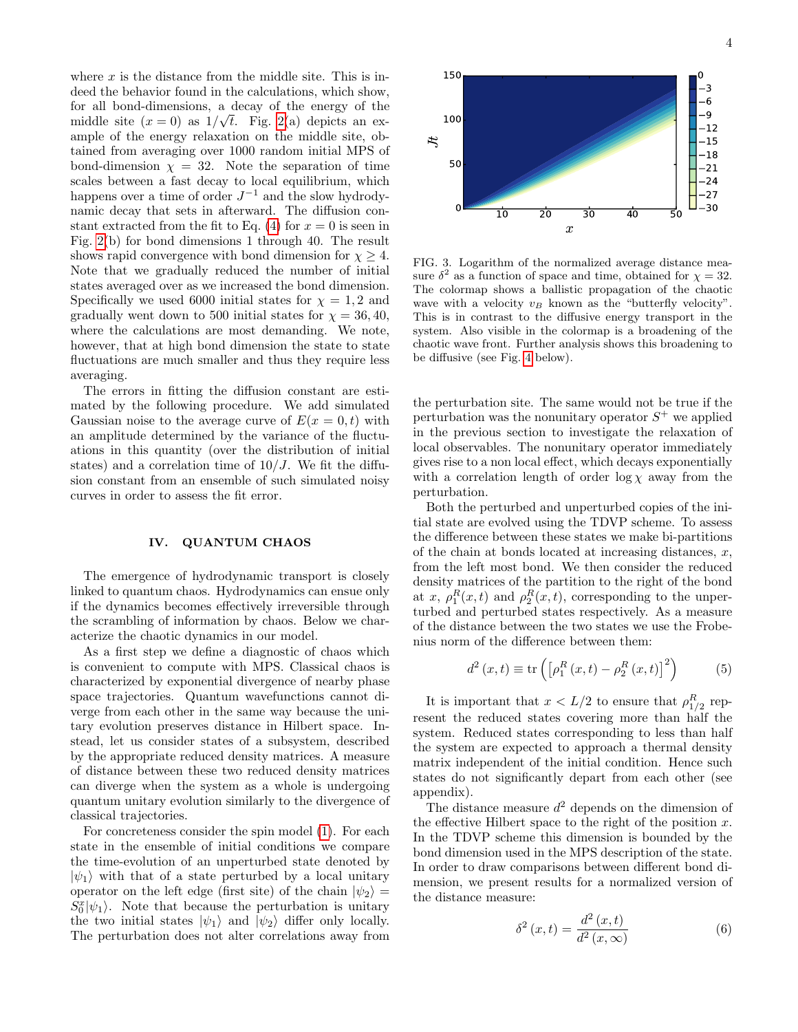where  $x$  is the distance from the middle site. This is indeed the behavior found in the calculations, which show, for all bond-dimensions, a decay of the energy of the middle site  $(x=0)$  as  $1/\sqrt{t}$ . Fig. [2\(](#page-2-0)a) depicts an example of the energy relaxation on the middle site, obtained from averaging over 1000 random initial MPS of bond-dimension  $\chi = 32$ . Note the separation of time scales between a fast decay to local equilibrium, which happens over a time of order  $J^{-1}$  and the slow hydrodynamic decay that sets in afterward. The diffusion constant extracted from the fit to Eq.  $(4)$  for  $x = 0$  is seen in Fig. [2\(](#page-2-0)b) for bond dimensions 1 through 40. The result shows rapid convergence with bond dimension for  $\chi \geq 4$ . Note that we gradually reduced the number of initial states averaged over as we increased the bond dimension. Specifically we used 6000 initial states for  $\chi = 1, 2$  and gradually went down to 500 initial states for  $\chi = 36, 40$ , where the calculations are most demanding. We note, however, that at high bond dimension the state to state fluctuations are much smaller and thus they require less averaging.

The errors in fitting the diffusion constant are estimated by the following procedure. We add simulated Gaussian noise to the average curve of  $E(x = 0, t)$  with an amplitude determined by the variance of the fluctuations in this quantity (over the distribution of initial states) and a correlation time of  $10/J$ . We fit the diffusion constant from an ensemble of such simulated noisy curves in order to assess the fit error.

#### IV. QUANTUM CHAOS

The emergence of hydrodynamic transport is closely linked to quantum chaos. Hydrodynamics can ensue only if the dynamics becomes effectively irreversible through the scrambling of information by chaos. Below we characterize the chaotic dynamics in our model.

As a first step we define a diagnostic of chaos which is convenient to compute with MPS. Classical chaos is characterized by exponential divergence of nearby phase space trajectories. Quantum wavefunctions cannot diverge from each other in the same way because the unitary evolution preserves distance in Hilbert space. Instead, let us consider states of a subsystem, described by the appropriate reduced density matrices. A measure of distance between these two reduced density matrices can diverge when the system as a whole is undergoing quantum unitary evolution similarly to the divergence of classical trajectories.

For concreteness consider the spin model [\(1\)](#page-1-1). For each state in the ensemble of initial conditions we compare the time-evolution of an unperturbed state denoted by  $|\psi_1\rangle$  with that of a state perturbed by a local unitary operator on the left edge (first site) of the chain  $|\psi_2\rangle =$  $S_0^x|\psi_1\rangle$ . Note that because the perturbation is unitary the two initial states  $|\psi_1\rangle$  and  $|\psi_2\rangle$  differ only locally. The perturbation does not alter correlations away from



<span id="page-3-1"></span>FIG. 3. Logarithm of the normalized average distance measure  $\delta^2$  as a function of space and time, obtained for  $\chi = 32$ . The colormap shows a ballistic propagation of the chaotic wave with a velocity  $v_B$  known as the "butterfly velocity". This is in contrast to the diffusive energy transport in the system. Also visible in the colormap is a broadening of the chaotic wave front. Further analysis shows this broadening to be diffusive (see Fig. [4](#page-4-0) below).

the perturbation site. The same would not be true if the perturbation was the nonunitary operator  $S^+$  we applied in the previous section to investigate the relaxation of local observables. The nonunitary operator immediately gives rise to a non local effect, which decays exponentially with a correlation length of order  $\log \chi$  away from the perturbation.

Both the perturbed and unperturbed copies of the initial state are evolved using the TDVP scheme. To assess the difference between these states we make bi-partitions of the chain at bonds located at increasing distances,  $x$ , from the left most bond. We then consider the reduced density matrices of the partition to the right of the bond at x,  $\rho_1^R(x,t)$  and  $\rho_2^R(x,t)$ , corresponding to the unperturbed and perturbed states respectively. As a measure of the distance between the two states we use the Frobenius norm of the difference between them:

<span id="page-3-0"></span>
$$
d^{2}(x,t) \equiv \text{tr}\left(\left[\rho_{1}^{R}(x,t) - \rho_{2}^{R}(x,t)\right]^{2}\right)
$$
 (5)

It is important that  $x < L/2$  to ensure that  $\rho_{1/2}^R$  represent the reduced states covering more than half the system. Reduced states corresponding to less than half the system are expected to approach a thermal density matrix independent of the initial condition. Hence such states do not significantly depart from each other (see appendix).

The distance measure  $d^2$  depends on the dimension of the effective Hilbert space to the right of the position  $x$ . In the TDVP scheme this dimension is bounded by the bond dimension used in the MPS description of the state. In order to draw comparisons between different bond dimension, we present results for a normalized version of the distance measure:

$$
\delta^{2}(x,t) = \frac{d^{2}(x,t)}{d^{2}(x,\infty)}
$$
\n(6)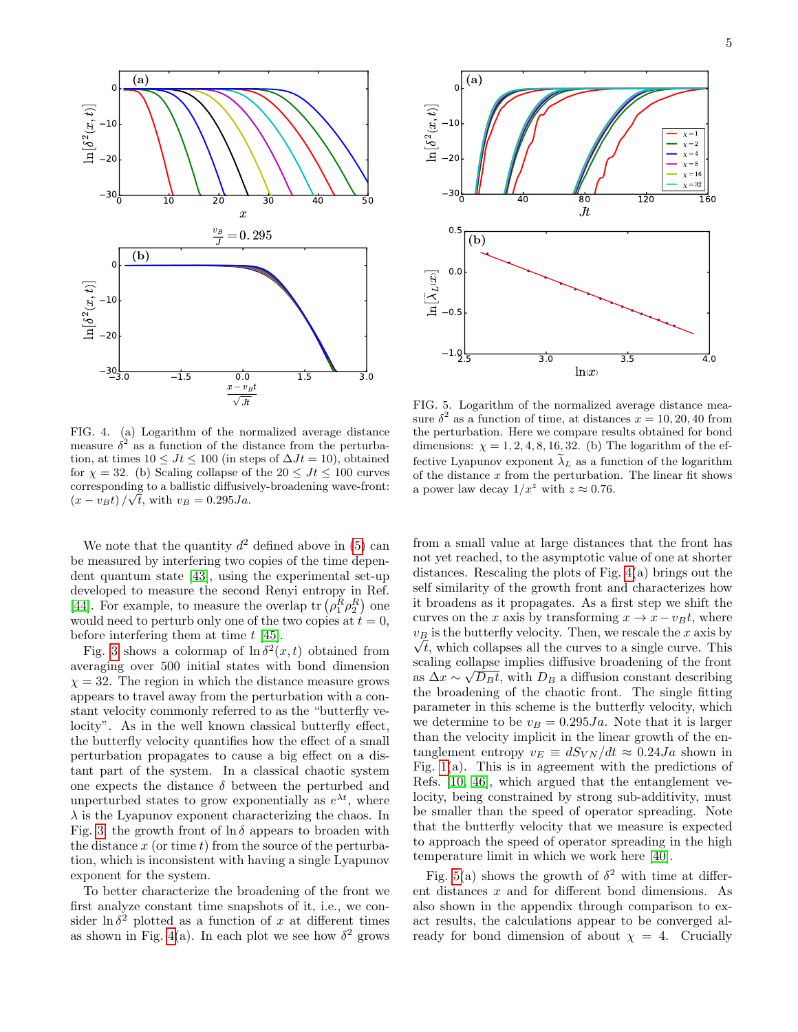

<span id="page-4-0"></span>FIG. 4. (a) Logarithm of the normalized average distance measure  $\delta^2$  as a function of the distance from the perturbation, at times  $10 \leq Jt \leq 100$  (in steps of  $\Delta Jt = 10$ ), obtained for  $\chi = 32$ . (b) Scaling collapse of the  $20 \leq Jt \leq 100$  curves corresponding to a ballistic diffusively-broadening wave-front: √  $(x - v_B t) / \sqrt{t}$ , with  $v_B = 0.295 Ja$ .

We note that the quantity  $d^2$  defined above in [\(5\)](#page-3-0) can be measured by interfering two copies of the time dependent quantum state [\[43\]](#page-6-28), using the experimental set-up developed to measure the second Renyi entropy in Ref. [\[44\]](#page-6-29). For example, to measure the overlap  $\text{tr}\left(\rho_1^R \rho_2^R\right)$  one would need to perturb only one of the two copies at  $t = 0$ , before interfering them at time  $t$  [\[45\]](#page-6-30).

Fig. [3](#page-3-1) shows a colormap of  $\ln \delta^2(x,t)$  obtained from averaging over 500 initial states with bond dimension  $\chi = 32$ . The region in which the distance measure grows appears to travel away from the perturbation with a constant velocity commonly referred to as the "butterfly velocity". As in the well known classical butterfly effect, the butterfly velocity quantifies how the effect of a small perturbation propagates to cause a big effect on a distant part of the system. In a classical chaotic system one expects the distance  $\delta$  between the perturbed and unperturbed states to grow exponentially as  $e^{\lambda t}$ , where  $\lambda$  is the Lyapunov exponent characterizing the chaos. In Fig. [3,](#page-3-1) the growth front of  $\ln \delta$  appears to broaden with the distance  $x$  (or time  $t$ ) from the source of the perturbation, which is inconsistent with having a single Lyapunov exponent for the system.

To better characterize the broadening of the front we first analyze constant time snapshots of it, i.e., we consider  $\ln \delta^2$  plotted as a function of x at different times as shown in Fig. [4\(](#page-4-0)a). In each plot we see how  $\delta^2$  grows



<span id="page-4-1"></span>FIG. 5. Logarithm of the normalized average distance measure  $\delta^2$  as a function of time, at distances  $x = 10, 20, 40$  from the perturbation. Here we compare results obtained for bond dimensions:  $\chi = 1, 2, 4, 8, 16, 32$ . (b) The logarithm of the effective Lyapunov exponent  $\lambda_L$  as a function of the logarithm of the distance  $x$  from the perturbation. The linear fit shows a power law decay  $1/x^2$  with  $z \approx 0.76$ .

from a small value at large distances that the front has not yet reached, to the asymptotic value of one at shorter distances. Rescaling the plots of Fig. [4\(](#page-4-0)a) brings out the self similarity of the growth front and characterizes how it broadens as it propagates. As a first step we shift the curves on the x axis by transforming  $x \rightarrow x - v_B t$ , where  $v_B$  is the butterfly velocity. Then, we rescale the x axis by  $\sqrt{t}$ , which collapses all the curves to a single curve. This scaling collapse implies diffusive broadening of the front as  $\Delta x \sim \sqrt{D_B t}$ , with  $D_B$  a diffusion constant describing the broadening of the chaotic front. The single fitting parameter in this scheme is the butterfly velocity, which we determine to be  $v_B = 0.295 Ja$ . Note that it is larger than the velocity implicit in the linear growth of the entanglement entropy  $v_E \equiv dS_{VN}/dt \approx 0.24Ja$  shown in Fig.  $1(a)$ . This is in agreement with the predictions of Refs. [\[10,](#page-6-3) [46\]](#page-6-31), which argued that the entanglement velocity, being constrained by strong sub-additivity, must be smaller than the speed of operator spreading. Note that the butterfly velocity that we measure is expected to approach the speed of operator spreading in the high temperature limit in which we work here [\[40\]](#page-6-25).

Fig. [5\(](#page-4-1)a) shows the growth of  $\delta^2$  with time at different distances x and for different bond dimensions. As also shown in the appendix through comparison to exact results, the calculations appear to be converged already for bond dimension of about  $\chi = 4$ . Crucially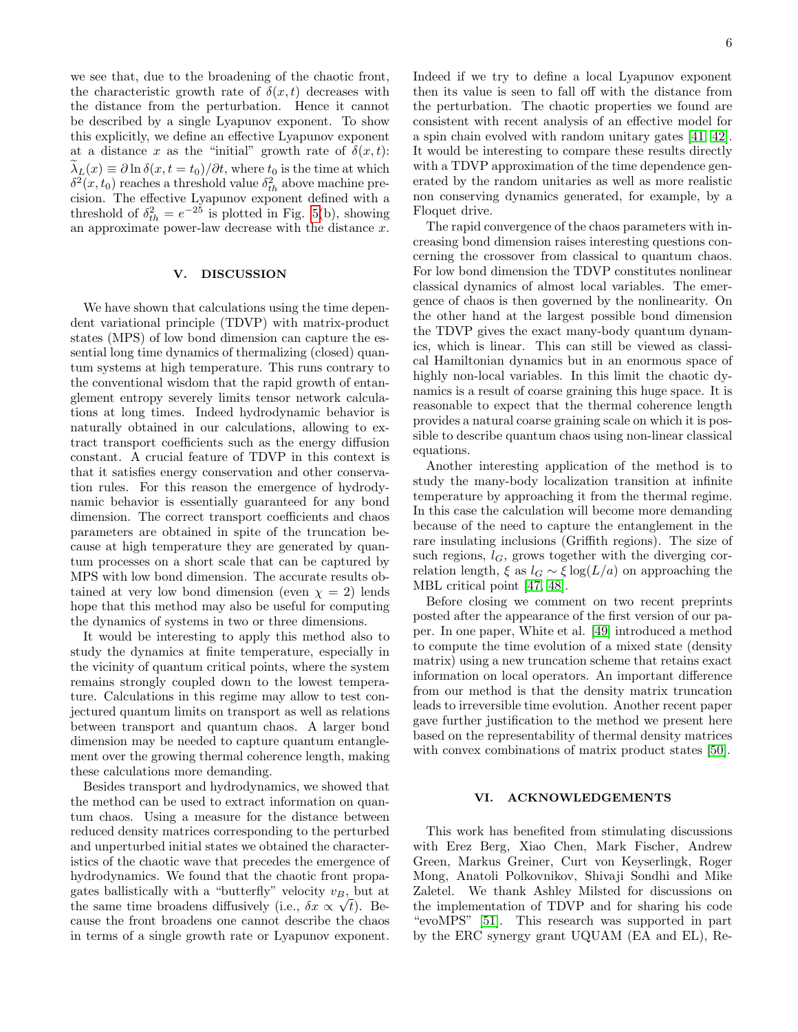we see that, due to the broadening of the chaotic front, the characteristic growth rate of  $\delta(x, t)$  decreases with the distance from the perturbation. Hence it cannot be described by a single Lyapunov exponent. To show this explicitly, we define an effective Lyapunov exponent at a distance x as the "initial" growth rate of  $\delta(x,t)$ :  $\lambda_L(x) \equiv \partial \ln \delta(x, t = t_0) / \partial t$ , where  $t_0$  is the time at which  $\delta^2(x, t_0)$  reaches a threshold value  $\delta_{th}^2$  above machine precision. The effective Lyapunov exponent defined with a threshold of  $\delta_{th}^2 = e^{-25}$  is plotted in Fig. [5\(](#page-4-1)b), showing an approximate power-law decrease with the distance  $x$ .

#### V. DISCUSSION

We have shown that calculations using the time dependent variational principle (TDVP) with matrix-product states (MPS) of low bond dimension can capture the essential long time dynamics of thermalizing (closed) quantum systems at high temperature. This runs contrary to the conventional wisdom that the rapid growth of entanglement entropy severely limits tensor network calculations at long times. Indeed hydrodynamic behavior is naturally obtained in our calculations, allowing to extract transport coefficients such as the energy diffusion constant. A crucial feature of TDVP in this context is that it satisfies energy conservation and other conservation rules. For this reason the emergence of hydrodynamic behavior is essentially guaranteed for any bond dimension. The correct transport coefficients and chaos parameters are obtained in spite of the truncation because at high temperature they are generated by quantum processes on a short scale that can be captured by MPS with low bond dimension. The accurate results obtained at very low bond dimension (even  $\chi = 2$ ) lends hope that this method may also be useful for computing the dynamics of systems in two or three dimensions.

It would be interesting to apply this method also to study the dynamics at finite temperature, especially in the vicinity of quantum critical points, where the system remains strongly coupled down to the lowest temperature. Calculations in this regime may allow to test conjectured quantum limits on transport as well as relations between transport and quantum chaos. A larger bond dimension may be needed to capture quantum entanglement over the growing thermal coherence length, making these calculations more demanding.

Besides transport and hydrodynamics, we showed that the method can be used to extract information on quantum chaos. Using a measure for the distance between reduced density matrices corresponding to the perturbed and unperturbed initial states we obtained the characteristics of the chaotic wave that precedes the emergence of hydrodynamics. We found that the chaotic front propagates ballistically with a "butterfly" velocity  $v_B$ , but at the same time broadens diffusively (i.e.,  $\delta x \propto \sqrt{t}$ ). Because the front broadens one cannot describe the chaos in terms of a single growth rate or Lyapunov exponent.

Indeed if we try to define a local Lyapunov exponent then its value is seen to fall off with the distance from the perturbation. The chaotic properties we found are consistent with recent analysis of an effective model for a spin chain evolved with random unitary gates [\[41,](#page-6-26) [42\]](#page-6-27). It would be interesting to compare these results directly with a TDVP approximation of the time dependence generated by the random unitaries as well as more realistic non conserving dynamics generated, for example, by a Floquet drive.

The rapid convergence of the chaos parameters with increasing bond dimension raises interesting questions concerning the crossover from classical to quantum chaos. For low bond dimension the TDVP constitutes nonlinear classical dynamics of almost local variables. The emergence of chaos is then governed by the nonlinearity. On the other hand at the largest possible bond dimension the TDVP gives the exact many-body quantum dynamics, which is linear. This can still be viewed as classical Hamiltonian dynamics but in an enormous space of highly non-local variables. In this limit the chaotic dynamics is a result of coarse graining this huge space. It is reasonable to expect that the thermal coherence length provides a natural coarse graining scale on which it is possible to describe quantum chaos using non-linear classical equations.

Another interesting application of the method is to study the many-body localization transition at infinite temperature by approaching it from the thermal regime. In this case the calculation will become more demanding because of the need to capture the entanglement in the rare insulating inclusions (Griffith regions). The size of such regions,  $l_G$ , grows together with the diverging correlation length,  $\xi$  as  $l_G \sim \xi \log(L/a)$  on approaching the MBL critical point [\[47,](#page-6-32) [48\]](#page-6-33).

Before closing we comment on two recent preprints posted after the appearance of the first version of our paper. In one paper, White et al. [\[49\]](#page-6-34) introduced a method to compute the time evolution of a mixed state (density matrix) using a new truncation scheme that retains exact information on local operators. An important difference from our method is that the density matrix truncation leads to irreversible time evolution. Another recent paper gave further justification to the method we present here based on the representability of thermal density matrices with convex combinations of matrix product states [\[50\]](#page-6-35).

## VI. ACKNOWLEDGEMENTS

This work has benefited from stimulating discussions with Erez Berg, Xiao Chen, Mark Fischer, Andrew Green, Markus Greiner, Curt von Keyserlingk, Roger Mong, Anatoli Polkovnikov, Shivaji Sondhi and Mike Zaletel. We thank Ashley Milsted for discussions on the implementation of TDVP and for sharing his code "evoMPS" [\[51\]](#page-6-36). This research was supported in part by the ERC synergy grant UQUAM (EA and EL), Re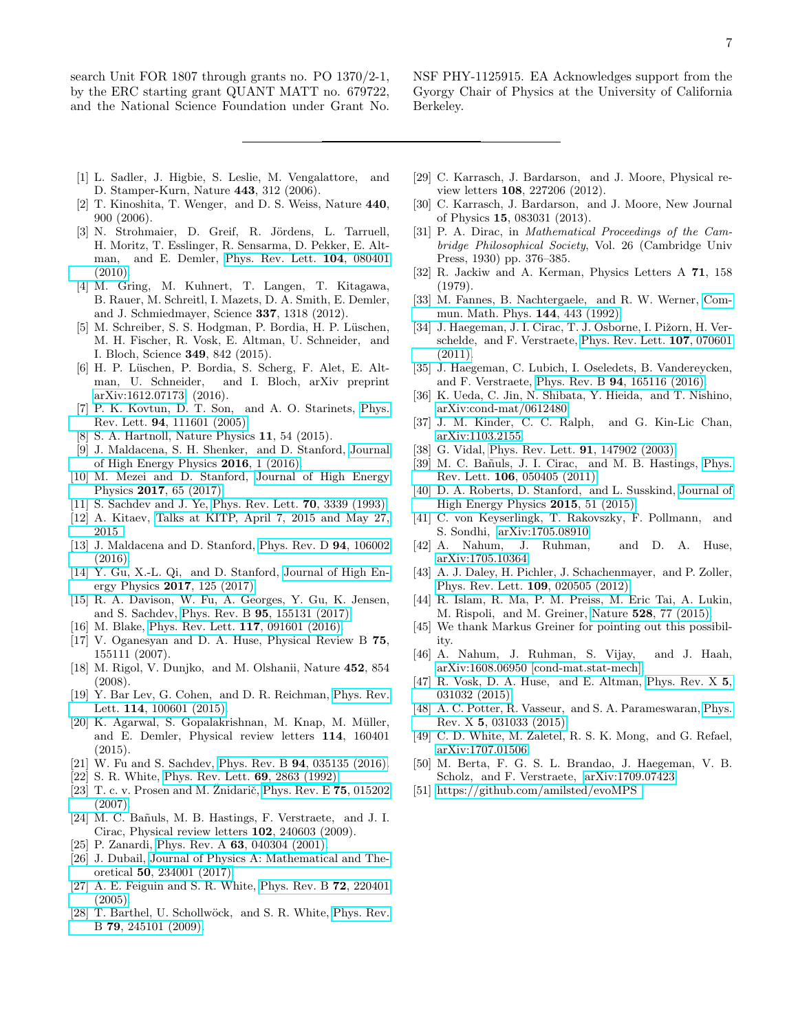search Unit FOR 1807 through grants no. PO 1370/2-1, by the ERC starting grant QUANT MATT no. 679722, and the National Science Foundation under Grant No.

NSF PHY-1125915. EA Acknowledges support from the Gyorgy Chair of Physics at the University of California Berkeley.

- <span id="page-6-0"></span>[1] L. Sadler, J. Higbie, S. Leslie, M. Vengalattore, and D. Stamper-Kurn, Nature 443, 312 (2006).
- [2] T. Kinoshita, T. Wenger, and D. S. Weiss, Nature 440, 900 (2006).
- [3] N. Strohmaier, D. Greif, R. Jördens, L. Tarruell, H. Moritz, T. Esslinger, R. Sensarma, D. Pekker, E. Altman, and E. Demler, [Phys. Rev. Lett.](http://dx.doi.org/ 10.1103/PhysRevLett.104.080401) 104, 080401 [\(2010\).](http://dx.doi.org/ 10.1103/PhysRevLett.104.080401)
- [4] M. Gring, M. Kuhnert, T. Langen, T. Kitagawa, B. Rauer, M. Schreitl, I. Mazets, D. A. Smith, E. Demler, and J. Schmiedmayer, Science 337, 1318 (2012).
- [5] M. Schreiber, S. S. Hodgman, P. Bordia, H. P. Lüschen, M. H. Fischer, R. Vosk, E. Altman, U. Schneider, and I. Bloch, Science 349, 842 (2015).
- <span id="page-6-1"></span>[6] H. P. L¨uschen, P. Bordia, S. Scherg, F. Alet, E. Altman, U. Schneider, and I. Bloch, arXiv preprint [arXiv:1612.07173](http://arxiv.org/abs/1612.07173) (2016).
- <span id="page-6-2"></span>[7] P. K. Kovtun, D. T. Son, and A. O. Starinets, [Phys.](http://dx.doi.org/10.1103/PhysRevLett.94.111601) Rev. Lett. 94[, 111601 \(2005\).](http://dx.doi.org/10.1103/PhysRevLett.94.111601)
- [8] S. A. Hartnoll, Nature Physics 11, 54 (2015).
- [9] J. Maldacena, S. H. Shenker, and D. Stanford, [Journal](http://dx.doi.org/10.1007/JHEP08(2016)106) [of High Energy Physics](http://dx.doi.org/10.1007/JHEP08(2016)106) 2016, 1 (2016).
- <span id="page-6-3"></span>[10] M. Mezei and D. Stanford, [Journal of High Energy](http://dx.doi.org/10.1007/JHEP05(2017)065) Physics 2017[, 65 \(2017\).](http://dx.doi.org/10.1007/JHEP05(2017)065)
- <span id="page-6-4"></span>[11] S. Sachdev and J. Ye, [Phys. Rev. Lett.](http://dx.doi.org/10.1103/PhysRevLett.70.3339) 70, 3339 (1993).
- [12] A. Kitaev, [Talks at KITP, April 7, 2015 and May 27,](http://online.kitp.ucsb.edu/online/entangled15/kitaev/,http: //online.kitp.ucsb.edu/online/entangled15/kitaev2/) [2015 .](http://online.kitp.ucsb.edu/online/entangled15/kitaev/,http: //online.kitp.ucsb.edu/online/entangled15/kitaev2/)
- [13] J. Maldacena and D. Stanford, [Phys. Rev. D](http://dx.doi.org/10.1103/PhysRevD.94.106002) 94, 106002 [\(2016\).](http://dx.doi.org/10.1103/PhysRevD.94.106002)
- [14] Y. Gu, X.-L. Qi, and D. Stanford, [Journal of High En](http://dx.doi.org/10.1007/JHEP05(2017)125)[ergy Physics](http://dx.doi.org/10.1007/JHEP05(2017)125) 2017, 125 (2017).
- <span id="page-6-5"></span>[15] R. A. Davison, W. Fu, A. Georges, Y. Gu, K. Jensen, and S. Sachdev, Phys. Rev. B 95[, 155131 \(2017\).](http://dx.doi.org/ 10.1103/PhysRevB.95.155131)
- <span id="page-6-6"></span>[16] M. Blake, [Phys. Rev. Lett.](http://dx.doi.org/10.1103/PhysRevLett.117.091601) **117**, 091601 (2016).
- <span id="page-6-7"></span>[17] V. Oganesyan and D. A. Huse, Physical Review B 75, 155111 (2007).
- [18] M. Rigol, V. Dunjko, and M. Olshanii, Nature 452, 854 (2008).
- [19] Y. Bar Lev, G. Cohen, and D. R. Reichman, [Phys. Rev.](http://dx.doi.org/10.1103/PhysRevLett.114.100601) Lett. 114[, 100601 \(2015\).](http://dx.doi.org/10.1103/PhysRevLett.114.100601)
- [20] K. Agarwal, S. Gopalakrishnan, M. Knap, M. Müller, and E. Demler, Physical review letters 114, 160401 (2015).
- <span id="page-6-8"></span>[21] W. Fu and S. Sachdev, Phys. Rev. B 94[, 035135 \(2016\).](http://dx.doi.org/10.1103/PhysRevB.94.035135)
- <span id="page-6-9"></span>[22] S. R. White, [Phys. Rev. Lett.](http://dx.doi.org/10.1103/PhysRevLett.69.2863) 69, 2863 (1992).
- <span id="page-6-10"></span>[23] T. c. v. Prosen and M. Znidarič, [Phys. Rev. E](http://dx.doi.org/ 10.1103/PhysRevE.75.015202) **75**, 015202 [\(2007\).](http://dx.doi.org/ 10.1103/PhysRevE.75.015202)
- <span id="page-6-14"></span>[24] M. C. Bañuls, M. B. Hastings, F. Verstraete, and J. I. Cirac, Physical review letters 102, 240603 (2009).
- [25] P. Zanardi, Phys. Rev. A 63[, 040304 \(2001\).](http://dx.doi.org/10.1103/PhysRevA.63.040304)
- <span id="page-6-11"></span>[26] J. Dubail, [Journal of Physics A: Mathematical and The](http://stacks.iop.org/1751-8121/50/i=23/a=234001)oretical 50[, 234001 \(2017\).](http://stacks.iop.org/1751-8121/50/i=23/a=234001)
- <span id="page-6-12"></span>[27] A. E. Feiguin and S. R. White, [Phys. Rev. B](http://dx.doi.org/10.1103/PhysRevB.72.220401) 72, 220401  $(2005).$
- [28] T. Barthel, U. Schollwöck, and S. R. White, [Phys. Rev.](http://dx.doi.org/10.1103/PhysRevB.79.245101) B 79[, 245101 \(2009\).](http://dx.doi.org/10.1103/PhysRevB.79.245101)
- <span id="page-6-15"></span>[29] C. Karrasch, J. Bardarson, and J. Moore, Physical review letters 108, 227206 (2012).
- <span id="page-6-13"></span>[30] C. Karrasch, J. Bardarson, and J. Moore, New Journal of Physics 15, 083031 (2013).
- <span id="page-6-16"></span>[31] P. A. Dirac, in *Mathematical Proceedings of the Cam*bridge Philosophical Society, Vol. 26 (Cambridge Univ Press, 1930) pp. 376–385.
- <span id="page-6-17"></span>[32] R. Jackiw and A. Kerman, Physics Letters A 71, 158 (1979).
- <span id="page-6-18"></span>[33] M. Fannes, B. Nachtergaele, and R. W. Werner, [Com](http://dx.doi.org/10.1007/BF02099178)[mun. Math. Phys.](http://dx.doi.org/10.1007/BF02099178) 144, 443 (1992).
- <span id="page-6-19"></span>[34] J. Haegeman, J. I. Cirac, T. J. Osborne, I. Pižorn, H. Verschelde, and F. Verstraete, [Phys. Rev. Lett.](http://dx.doi.org/10.1103/PhysRevLett.107.070601) 107, 070601 [\(2011\).](http://dx.doi.org/10.1103/PhysRevLett.107.070601)
- <span id="page-6-20"></span>[35] J. Haegeman, C. Lubich, I. Oseledets, B. Vandereycken, and F. Verstraete, Phys. Rev. B 94[, 165116 \(2016\).](http://dx.doi.org/ 10.1103/PhysRevB.94.165116)
- <span id="page-6-21"></span>[36] K. Ueda, C. Jin, N. Shibata, Y. Hieida, and T. Nishino, [arXiv:cond-mat/0612480.](http://arxiv.org/abs/arXiv:cond-mat/0612480)
- <span id="page-6-22"></span>[37] J. M. Kinder, C. C. Ralph, and G. Kin-Lic Chan, [arXiv:1103.2155.](http://arxiv.org/abs/1103.2155)
- <span id="page-6-23"></span>[38] G. Vidal, [Phys. Rev. Lett.](http://dx.doi.org/10.1103/PhysRevLett.91.147902) **91**, 147902 (2003).
- <span id="page-6-24"></span>[39] M. C. Bañuls, J. I. Cirac, and M. B. Hastings, [Phys.](http://dx.doi.org/10.1103/PhysRevLett.106.050405) Rev. Lett. 106[, 050405 \(2011\).](http://dx.doi.org/10.1103/PhysRevLett.106.050405)
- <span id="page-6-25"></span>[40] D. A. Roberts, D. Stanford, and L. Susskind, [Journal of](http://dx.doi.org/10.1007/JHEP03(2015)051) [High Energy Physics](http://dx.doi.org/10.1007/JHEP03(2015)051) 2015, 51 (2015).
- <span id="page-6-26"></span>[41] C. von Keyserlingk, T. Rakovszky, F. Pollmann, and S. Sondhi, [arXiv:1705.08910.](http://arxiv.org/abs/1705.08910)
- <span id="page-6-27"></span>[42] A. Nahum, J. Ruhman, and D. A. Huse, [arXiv:1705.10364.](http://arxiv.org/abs/1705.10364)
- <span id="page-6-28"></span>[43] A. J. Daley, H. Pichler, J. Schachenmayer, and P. Zoller, [Phys. Rev. Lett.](http://dx.doi.org/10.1103/PhysRevLett.109.020505) 109, 020505 (2012).
- <span id="page-6-29"></span>[44] R. Islam, R. Ma, P. M. Preiss, M. Eric Tai, A. Lukin, M. Rispoli, and M. Greiner, Nature 528[, 77 \(2015\).](http://dx.doi.org/10.1038/nature15750)
- <span id="page-6-30"></span>[45] We thank Markus Greiner for pointing out this possibility.
- <span id="page-6-31"></span>[46] A. Nahum, J. Ruhman, S. Vijay, and J. Haah, [arXiv:1608.06950 \[cond-mat.stat-mech\].](http://arxiv.org/abs/1608.06950)
- <span id="page-6-32"></span>[47] R. Vosk, D. A. Huse, and E. Altman, [Phys. Rev. X](http://dx.doi.org/10.1103/PhysRevX.5.031032) 5, [031032 \(2015\).](http://dx.doi.org/10.1103/PhysRevX.5.031032)
- <span id="page-6-33"></span>[48] A. C. Potter, R. Vasseur, and S. A. Parameswaran, [Phys.](http://dx.doi.org/10.1103/PhysRevX.5.031033) Rev. X 5[, 031033 \(2015\).](http://dx.doi.org/10.1103/PhysRevX.5.031033)
- <span id="page-6-34"></span>[49] C. D. White, M. Zaletel, R. S. K. Mong, and G. Refael, [arXiv:1707.01506.](http://arxiv.org/abs/1707.01506)
- <span id="page-6-35"></span>[50] M. Berta, F. G. S. L. Brandao, J. Haegeman, V. B. Scholz, and F. Verstraete, [arXiv:1709.07423.](http://arxiv.org/abs/1709.07423)
- <span id="page-6-36"></span>[51] [https://github.com/amilsted/evoMPS .](https://github.com/amilsted/evoMPS)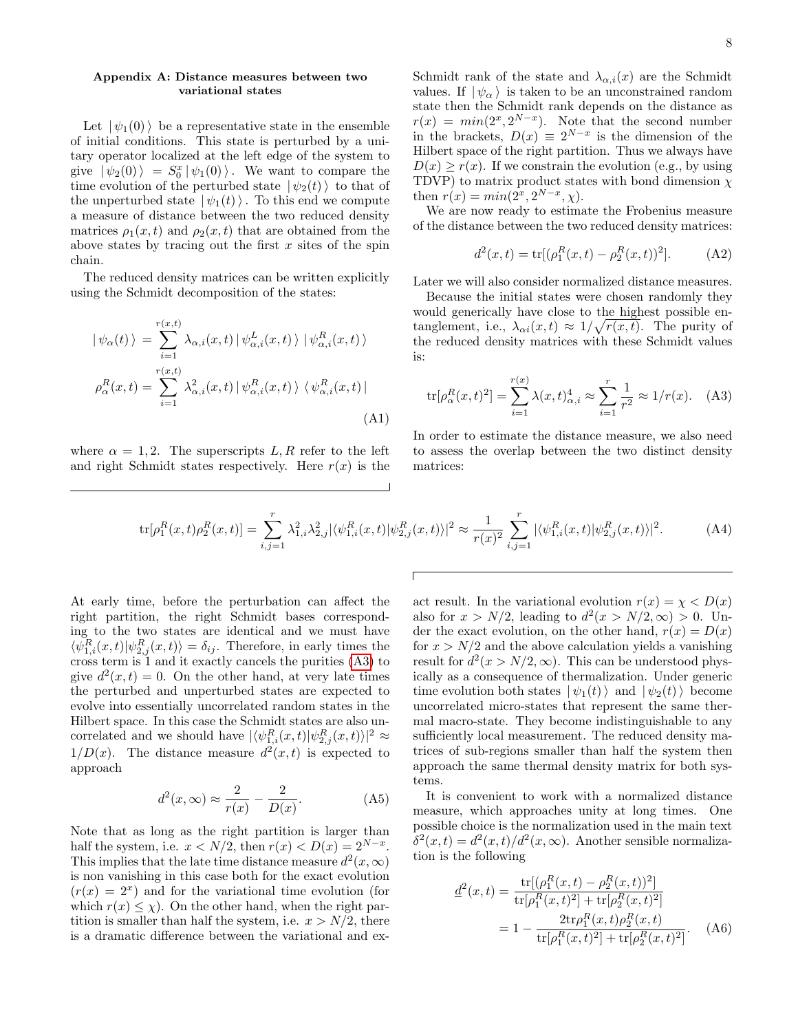# Appendix A: Distance measures between two variational states

Let  $|\psi_1(0)\rangle$  be a representative state in the ensemble of initial conditions. This state is perturbed by a unitary operator localized at the left edge of the system to give  $|\psi_2(0)\rangle = S_0^x |\psi_1(0)\rangle$ . We want to compare the time evolution of the perturbed state  $|\psi_2(t)\rangle$  to that of the unperturbed state  $|\psi_1(t)\rangle$ . To this end we compute a measure of distance between the two reduced density matrices  $\rho_1(x,t)$  and  $\rho_2(x,t)$  that are obtained from the above states by tracing out the first  $x$  sites of the spin chain.

The reduced density matrices can be written explicitly using the Schmidt decomposition of the states:

$$
\begin{aligned} \left| \psi_{\alpha}(t) \right\rangle &= \sum_{i=1}^{r(x,t)} \lambda_{\alpha,i}(x,t) \left| \psi_{\alpha,i}^{L}(x,t) \right\rangle \left| \psi_{\alpha,i}^{R}(x,t) \right\rangle \\ \rho_{\alpha}^{R}(x,t) &= \sum_{i=1}^{r(x,t)} \lambda_{\alpha,i}^{2}(x,t) \left| \psi_{\alpha,i}^{R}(x,t) \right\rangle \left\langle \psi_{\alpha,i}^{R}(x,t) \right| \end{aligned} \tag{A1}
$$

where  $\alpha = 1, 2$ . The superscripts L, R refer to the left and right Schmidt states respectively. Here  $r(x)$  is the Schmidt rank of the state and  $\lambda_{\alpha,i}(x)$  are the Schmidt values. If  $|\psi_{\alpha}\rangle$  is taken to be an unconstrained random state then the Schmidt rank depends on the distance as  $r(x) = min(2^x, 2^{N-x}).$  Note that the second number in the brackets,  $D(x) \equiv 2^{N-x}$  is the dimension of the Hilbert space of the right partition. Thus we always have  $D(x) \geq r(x)$ . If we constrain the evolution (e.g., by using TDVP) to matrix product states with bond dimension  $\chi$ then  $r(x) = min(2^x, 2^{N-x}, \chi)$ .

We are now ready to estimate the Frobenius measure of the distance between the two reduced density matrices:

$$
d^{2}(x,t) = \text{tr}[(\rho_{1}^{R}(x,t) - \rho_{2}^{R}(x,t))^{2}].
$$
 (A2)

Later we will also consider normalized distance measures.

Because the initial states were chosen randomly they would generically have close to the highest possible entanglement, i.e.,  $\lambda_{\alpha i}(x,t) \approx 1/\sqrt{r(x,t)}$ . The purity of the reduced density matrices with these Schmidt values is:

<span id="page-7-0"></span>
$$
\text{tr}[\rho^R_{\alpha}(x,t)^2] = \sum_{i=1}^{r(x)} \lambda(x,t)^4_{\alpha,i} \approx \sum_{i=1}^r \frac{1}{r^2} \approx 1/r(x). \quad (A3)
$$

In order to estimate the distance measure, we also need to assess the overlap between the two distinct density matrices:

$$
\text{tr}[\rho_1^R(x,t)\rho_2^R(x,t)] = \sum_{i,j=1}^r \lambda_{1,i}^2 \lambda_{2,j}^2 |\langle \psi_{1,i}^R(x,t) | \psi_{2,j}^R(x,t) \rangle|^2 \approx \frac{1}{r(x)^2} \sum_{i,j=1}^r |\langle \psi_{1,i}^R(x,t) | \psi_{2,j}^R(x,t) \rangle|^2. \tag{A4}
$$

At early time, before the perturbation can affect the right partition, the right Schmidt bases corresponding to the two states are identical and we must have  $\langle \psi_{1,i}^R(x,t) | \psi_{2,j}^R(x,t) \rangle = \delta_{ij}$ . Therefore, in early times the cross term is 1 and it exactly cancels the purities [\(A3\)](#page-7-0) to give  $d^2(x,t) = 0$ . On the other hand, at very late times the perturbed and unperturbed states are expected to evolve into essentially uncorrelated random states in the Hilbert space. In this case the Schmidt states are also uncorrelated and we should have  $|\langle \psi_{1,i}^R(x,t)|\psi_{2,j}^R(x,t)\rangle|^2 \approx$  $1/D(x)$ . The distance measure  $d^2(x,t)$  is expected to approach

<span id="page-7-1"></span>
$$
d^2(x,\infty) \approx \frac{2}{r(x)} - \frac{2}{D(x)}.\tag{A5}
$$

Note that as long as the right partition is larger than half the system, i.e.  $x < N/2$ , then  $r(x) < D(x) = 2^{N-x}$ . This implies that the late time distance measure  $d^2(x,\infty)$ is non vanishing in this case both for the exact evolution  $(r(x) = 2<sup>x</sup>)$  and for the variational time evolution (for which  $r(x) \leq \chi$ ). On the other hand, when the right partition is smaller than half the system, i.e.  $x > N/2$ , there is a dramatic difference between the variational and exact result. In the variational evolution  $r(x) = \chi < D(x)$ also for  $x > N/2$ , leading to  $d^2(x > N/2, \infty) > 0$ . Under the exact evolution, on the other hand,  $r(x) = D(x)$ for  $x > N/2$  and the above calculation yields a vanishing result for  $d^2(x > N/2, \infty)$ . This can be understood physically as a consequence of thermalization. Under generic time evolution both states  $|\psi_1(t)\rangle$  and  $|\psi_2(t)\rangle$  become uncorrelated micro-states that represent the same thermal macro-state. They become indistinguishable to any sufficiently local measurement. The reduced density matrices of sub-regions smaller than half the system then approach the same thermal density matrix for both systems.

It is convenient to work with a normalized distance measure, which approaches unity at long times. One possible choice is the normalization used in the main text  $\delta^2(x,t) = d^2(x,t)/d^2(x,\infty)$ . Another sensible normalization is the following

$$
\underline{d}^{2}(x,t) = \frac{\text{tr}[(\rho_{1}^{R}(x,t) - \rho_{2}^{R}(x,t))^{2}]}{\text{tr}[\rho_{1}^{R}(x,t)^{2}] + \text{tr}[\rho_{2}^{R}(x,t)^{2}]} \n= 1 - \frac{2\text{tr}\rho_{1}^{R}(x,t)\rho_{2}^{R}(x,t)}{\text{tr}[\rho_{1}^{R}(x,t)^{2}] + \text{tr}[\rho_{2}^{R}(x,t)^{2}]}.
$$
\n(A6)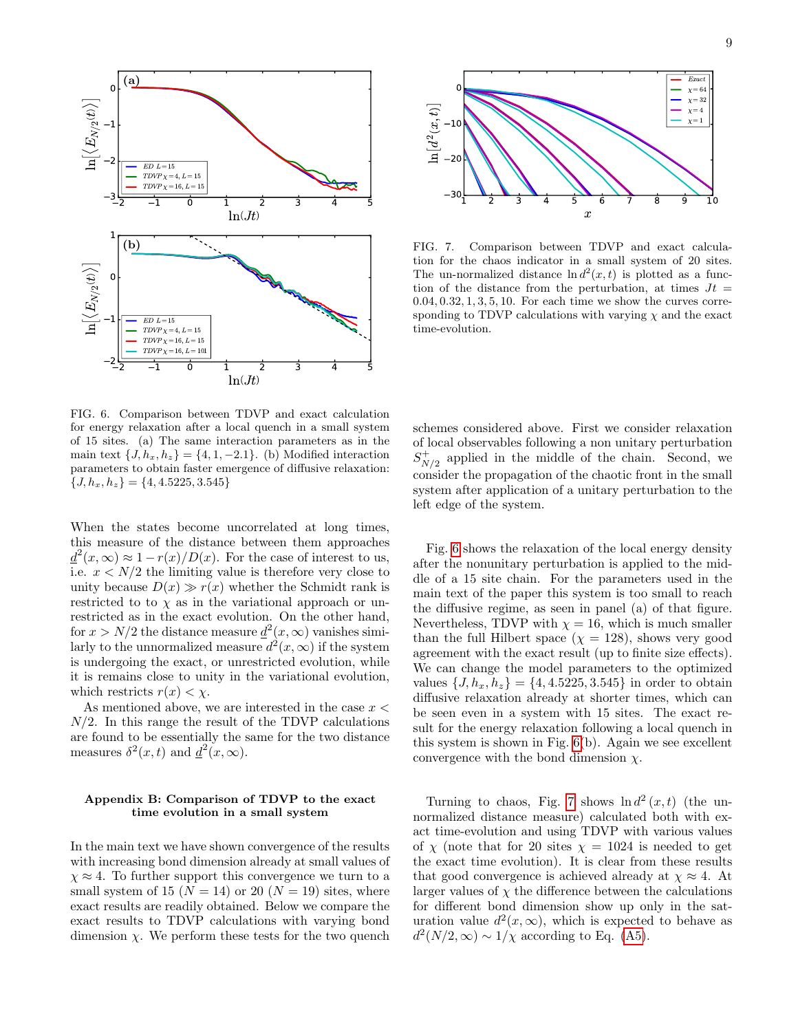



<span id="page-8-1"></span>FIG. 7. Comparison between TDVP and exact calculation for the chaos indicator in a small system of 20 sites. The un-normalized distance  $\ln d^2(x,t)$  is plotted as a function of the distance from the perturbation, at times  $Jt =$ 0.04, 0.32, 1, 3, 5, 10. For each time we show the curves corresponding to TDVP calculations with varying  $\chi$  and the exact time-evolution.

<span id="page-8-0"></span>FIG. 6. Comparison between TDVP and exact calculation for energy relaxation after a local quench in a small system of 15 sites. (a) The same interaction parameters as in the main text  $\{J, h_x, h_z\} = \{4, 1, -2.1\}$ . (b) Modified interaction parameters to obtain faster emergence of diffusive relaxation:  $\{J, h_x, h_z\} = \{4, 4.5225, 3.545\}$ 

When the states become uncorrelated at long times, this measure of the distance between them approaches  $\underline{d}^2(x,\infty) \approx 1-r(x)/D(x)$ . For the case of interest to us, i.e.  $x < N/2$  the limiting value is therefore very close to unity because  $D(x) \gg r(x)$  whether the Schmidt rank is restricted to to  $\chi$  as in the variational approach or unrestricted as in the exact evolution. On the other hand, for  $x > N/2$  the distance measure  $\underline{d}^2(x,\infty)$  vanishes similarly to the unnormalized measure  $d^2(x,\infty)$  if the system is undergoing the exact, or unrestricted evolution, while it is remains close to unity in the variational evolution, which restricts  $r(x) < \chi$ .

As mentioned above, we are interested in the case  $x <$  $N/2$ . In this range the result of the TDVP calculations are found to be essentially the same for the two distance measures  $\delta^2(x,t)$  and  $\underline{d}^2(x,\infty)$ .

## Appendix B: Comparison of TDVP to the exact time evolution in a small system

In the main text we have shown convergence of the results with increasing bond dimension already at small values of  $\chi \approx 4$ . To further support this convergence we turn to a small system of 15 ( $N = 14$ ) or 20 ( $N = 19$ ) sites, where exact results are readily obtained. Below we compare the exact results to TDVP calculations with varying bond dimension  $\chi$ . We perform these tests for the two quench

schemes considered above. First we consider relaxation of local observables following a non unitary perturbation  $S_{N/2}^+$  applied in the middle of the chain. Second, we consider the propagation of the chaotic front in the small system after application of a unitary perturbation to the left edge of the system.

Fig. [6](#page-8-0) shows the relaxation of the local energy density after the nonunitary perturbation is applied to the middle of a 15 site chain. For the parameters used in the main text of the paper this system is too small to reach the diffusive regime, as seen in panel (a) of that figure. Nevertheless, TDVP with  $\chi = 16$ , which is much smaller than the full Hilbert space ( $\chi = 128$ ), shows very good agreement with the exact result (up to finite size effects). We can change the model parameters to the optimized values  $\{J, h_x, h_z\} = \{4, 4.5225, 3.545\}$  in order to obtain diffusive relaxation already at shorter times, which can be seen even in a system with 15 sites. The exact result for the energy relaxation following a local quench in this system is shown in Fig. [6\(](#page-8-0)b). Again we see excellent convergence with the bond dimension  $\chi$ .

Turning to chaos, Fig. [7](#page-8-1) shows  $\ln d^2(x,t)$  (the unnormalized distance measure) calculated both with exact time-evolution and using TDVP with various values of  $\chi$  (note that for 20 sites  $\chi = 1024$  is needed to get the exact time evolution). It is clear from these results that good convergence is achieved already at  $\chi \approx 4$ . At larger values of  $\chi$  the difference between the calculations for different bond dimension show up only in the saturation value  $d^2(x,\infty)$ , which is expected to behave as  $d^2(N/2,\infty) \sim 1/\chi$  according to Eq. [\(A5\)](#page-7-1).